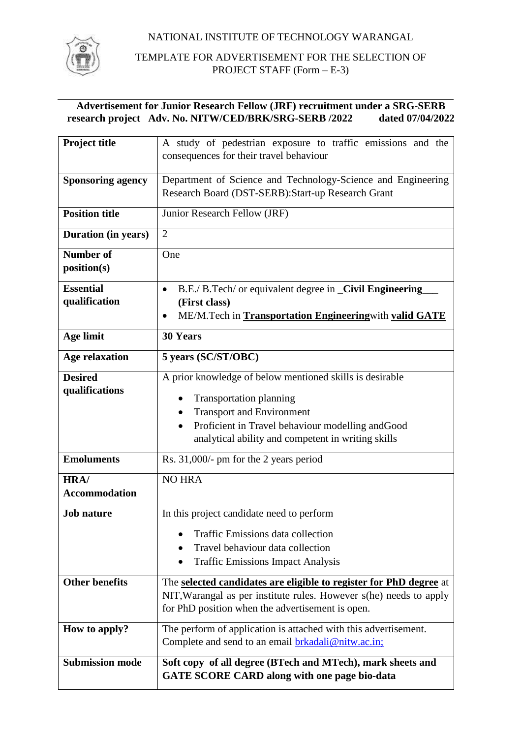NATIONAL INSTITUTE OF TECHNOLOGY WARANGAL



TEMPLATE FOR ADVERTISEMENT FOR THE SELECTION OF PROJECT STAFF (Form – E-3)

# **Advertisement for Junior Research Fellow (JRF) recruitment under a SRG-SERB**  research project Adv. No. NITW/CED/BRK/SRG-SERB /2022

| <b>Project title</b>       | A study of pedestrian exposure to traffic emissions and the                                                            |  |  |  |
|----------------------------|------------------------------------------------------------------------------------------------------------------------|--|--|--|
|                            | consequences for their travel behaviour                                                                                |  |  |  |
| <b>Sponsoring agency</b>   | Department of Science and Technology-Science and Engineering                                                           |  |  |  |
|                            | Research Board (DST-SERB): Start-up Research Grant                                                                     |  |  |  |
| <b>Position title</b>      | Junior Research Fellow (JRF)                                                                                           |  |  |  |
|                            | $\overline{2}$                                                                                                         |  |  |  |
| <b>Duration</b> (in years) |                                                                                                                        |  |  |  |
| <b>Number of</b>           | One                                                                                                                    |  |  |  |
| position(s)                |                                                                                                                        |  |  |  |
| <b>Essential</b>           | B.E./ B.Tech/ or equivalent degree in _Civil Engineering<br>$\bullet$                                                  |  |  |  |
| qualification              | (First class)                                                                                                          |  |  |  |
|                            | ME/M. Tech in Transportation Engineering with valid GATE<br>٠                                                          |  |  |  |
| <b>Age limit</b>           | <b>30 Years</b>                                                                                                        |  |  |  |
| <b>Age relaxation</b>      | 5 years (SC/ST/OBC)                                                                                                    |  |  |  |
| <b>Desired</b>             | A prior knowledge of below mentioned skills is desirable                                                               |  |  |  |
| qualifications             | <b>Transportation planning</b>                                                                                         |  |  |  |
|                            | <b>Transport and Environment</b><br>$\bullet$                                                                          |  |  |  |
|                            | Proficient in Travel behaviour modelling and Good<br>$\bullet$                                                         |  |  |  |
|                            | analytical ability and competent in writing skills                                                                     |  |  |  |
| <b>Emoluments</b>          | Rs. 31,000/- pm for the 2 years period                                                                                 |  |  |  |
| <b>HRA/</b>                | <b>NO HRA</b>                                                                                                          |  |  |  |
| <b>Accommodation</b>       |                                                                                                                        |  |  |  |
| <b>Job nature</b>          | In this project candidate need to perform                                                                              |  |  |  |
|                            | <b>Traffic Emissions data collection</b>                                                                               |  |  |  |
|                            | Travel behaviour data collection                                                                                       |  |  |  |
|                            | <b>Traffic Emissions Impact Analysis</b>                                                                               |  |  |  |
|                            |                                                                                                                        |  |  |  |
| <b>Other benefits</b>      | The selected candidates are eligible to register for PhD degree at                                                     |  |  |  |
|                            | NIT, Warangal as per institute rules. However s(he) needs to apply<br>for PhD position when the advertisement is open. |  |  |  |
|                            |                                                                                                                        |  |  |  |
| How to apply?              | The perform of application is attached with this advertisement.                                                        |  |  |  |
|                            | Complete and send to an email <b>brkadali@nitw.ac.in</b> ;                                                             |  |  |  |
| <b>Submission mode</b>     | Soft copy of all degree (BTech and MTech), mark sheets and                                                             |  |  |  |
|                            | <b>GATE SCORE CARD along with one page bio-data</b>                                                                    |  |  |  |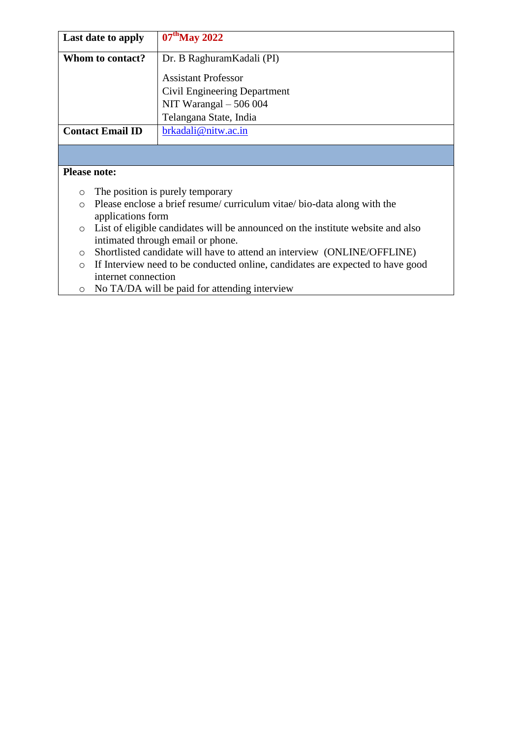| Last date to apply                                                                         | $07th$ May 2022                                                                    |  |  |  |  |
|--------------------------------------------------------------------------------------------|------------------------------------------------------------------------------------|--|--|--|--|
|                                                                                            |                                                                                    |  |  |  |  |
| Whom to contact?                                                                           | Dr. B Raghuram Kadali (PI)                                                         |  |  |  |  |
|                                                                                            | <b>Assistant Professor</b>                                                         |  |  |  |  |
|                                                                                            |                                                                                    |  |  |  |  |
|                                                                                            | Civil Engineering Department                                                       |  |  |  |  |
|                                                                                            | NIT Warangal $-506004$                                                             |  |  |  |  |
|                                                                                            | Telangana State, India                                                             |  |  |  |  |
| <b>Contact Email ID</b>                                                                    | brkadali@nitw.ac.in                                                                |  |  |  |  |
|                                                                                            |                                                                                    |  |  |  |  |
|                                                                                            |                                                                                    |  |  |  |  |
| <b>Please note:</b>                                                                        |                                                                                    |  |  |  |  |
| $\circ$                                                                                    | The position is purely temporary                                                   |  |  |  |  |
| Please enclose a brief resume/curriculum vitae/bio-data along with the<br>$\bigcirc$       |                                                                                    |  |  |  |  |
| applications form                                                                          |                                                                                    |  |  |  |  |
| List of eligible candidates will be announced on the institute website and also<br>$\circ$ |                                                                                    |  |  |  |  |
| intimated through email or phone.                                                          |                                                                                    |  |  |  |  |
|                                                                                            |                                                                                    |  |  |  |  |
|                                                                                            | Shortlisted candidate will have to attend an interview (ONLINE/OFFLINE)<br>$\circ$ |  |  |  |  |
| If Interview need to be conducted online, candidates are expected to have good<br>$\circ$  |                                                                                    |  |  |  |  |
| internet connection                                                                        |                                                                                    |  |  |  |  |

o No TA/DA will be paid for attending interview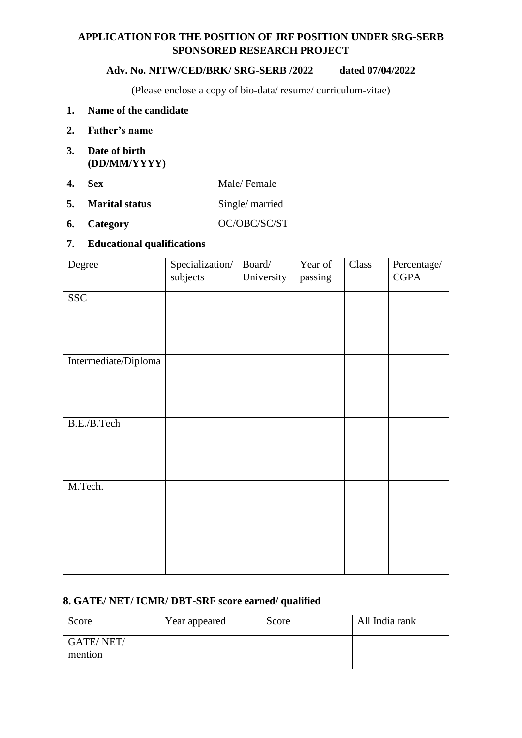# **APPLICATION FOR THE POSITION OF JRF POSITION UNDER SRG-SERB SPONSORED RESEARCH PROJECT**

### **Adv. No. NITW/CED/BRK/ SRG-SERB /2022 dated 07/04/2022**

(Please enclose a copy of bio-data/ resume/ curriculum-vitae)

## **1. Name of the candidate**

- **2. Father's name**
- **3. Date of birth (DD/MM/YYYY)**
- **4. Sex** Male/ Female
- **5.** Marital status Single/ married
- **6. Category** OC/OBC/SC/ST

### **7. Educational qualifications**

| Degree               | Specialization/ | Board/     | Year of | Class | Percentage/ |
|----------------------|-----------------|------------|---------|-------|-------------|
|                      | subjects        | University | passing |       | <b>CGPA</b> |
| <b>SSC</b>           |                 |            |         |       |             |
|                      |                 |            |         |       |             |
|                      |                 |            |         |       |             |
|                      |                 |            |         |       |             |
|                      |                 |            |         |       |             |
| Intermediate/Diploma |                 |            |         |       |             |
|                      |                 |            |         |       |             |
|                      |                 |            |         |       |             |
|                      |                 |            |         |       |             |
| B.E./B.Tech          |                 |            |         |       |             |
|                      |                 |            |         |       |             |
|                      |                 |            |         |       |             |
|                      |                 |            |         |       |             |
|                      |                 |            |         |       |             |
| M.Tech.              |                 |            |         |       |             |
|                      |                 |            |         |       |             |
|                      |                 |            |         |       |             |
|                      |                 |            |         |       |             |
|                      |                 |            |         |       |             |
|                      |                 |            |         |       |             |
|                      |                 |            |         |       |             |

# **8. GATE/ NET/ ICMR/ DBT-SRF score earned/ qualified**

| Score                       | Year appeared | Score | All India rank |
|-----------------------------|---------------|-------|----------------|
| <b>GATE/NET/</b><br>mention |               |       |                |